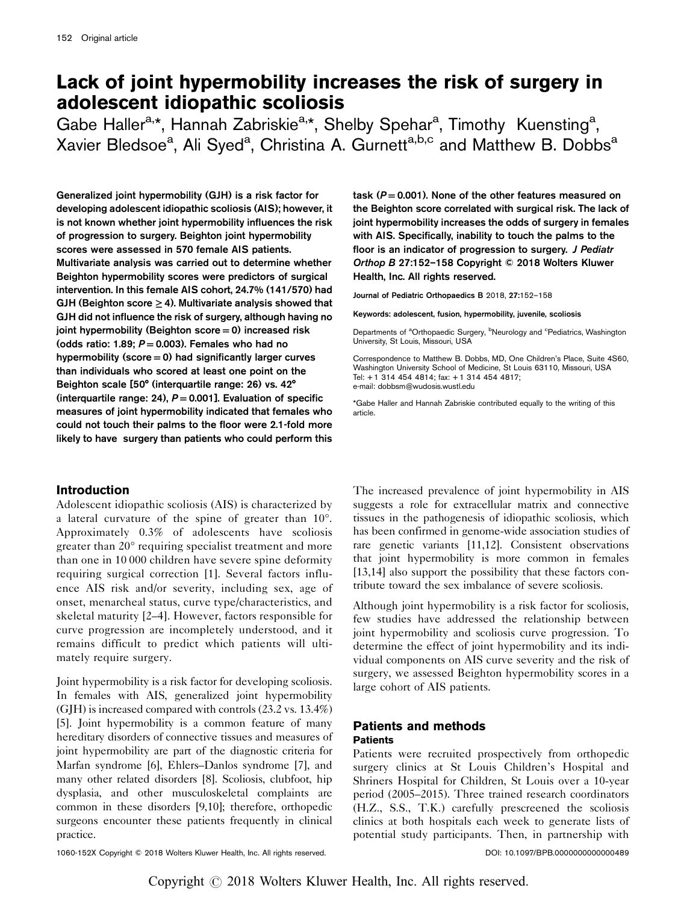# Lack of joint hypermobility increases the risk of surgery in adolescent idiopathic scoliosis

Gabe Haller<sup>a,\*</sup>, Hannah Zabriskie<sup>a,\*</sup>, Shelby Spehar<sup>a</sup>, Timothy Kuensting<sup>a</sup>, Xavier Bledsoe<sup>a</sup>, Ali Syed<sup>a</sup>, Christina A. Gurnett<sup>a,b,c</sup> and Matthew B. Dobbs<sup>a</sup>

Generalized joint hypermobility (GJH) is a risk factor for developing adolescent idiopathic scoliosis (AIS); however, it is not known whether joint hypermobility influences the risk of progression to surgery. Beighton joint hypermobility scores were assessed in 570 female AIS patients. Multivariate analysis was carried out to determine whether Beighton hypermobility scores were predictors of surgical intervention. In this female AIS cohort, 24.7% (141/570) had GJH (Beighton score  $\geq$  4). Multivariate analysis showed that GJH did not influence the risk of surgery, although having no joint hypermobility (Beighton score = 0) increased risk (odds ratio: 1.89;  $P = 0.003$ ). Females who had no hypermobility (score  $= 0$ ) had significantly larger curves than individuals who scored at least one point on the Beighton scale [50° (interquartile range: 26) vs. 42° (interquartile range: 24),  $P = 0.001$ ]. Evaluation of specific measures of joint hypermobility indicated that females who could not touch their palms to the floor were 2.1-fold more likely to have surgery than patients who could perform this

## **Introduction**

Adolescent idiopathic scoliosis (AIS) is characterized by a lateral curvature of the spine of greater than 10°. Approximately 0.3% of adolescents have scoliosis greater than 20° requiring specialist treatment and more than one in 10 000 children have severe spine deformity requiring surgical correction [\[1](#page-5-0)]. Several factors influence AIS risk and/or severity, including sex, age of onset, menarcheal status, curve type/characteristics, and skeletal maturity [\[2](#page-5-0)–4]. However, factors responsible for curve progression are incompletely understood, and it remains difficult to predict which patients will ultimately require surgery.

Joint hypermobility is a risk factor for developing scoliosis. In females with AIS, generalized joint hypermobility (GJH) is increased compared with controls (23.2 vs. 13.4%) [\[5\]](#page-5-0). Joint hypermobility is a common feature of many hereditary disorders of connective tissues and measures of joint hypermobility are part of the diagnostic criteria for Marfan syndrome [\[6](#page-5-0)], Ehlers–Danlos syndrome [\[7\]](#page-5-0), and many other related disorders [\[8\]](#page-5-0). Scoliosis, clubfoot, hip dysplasia, and other musculoskeletal complaints are common in these disorders [\[9,10](#page-5-0)]; therefore, orthopedic surgeons encounter these patients frequently in clinical practice.

task ( $P = 0.001$ ). None of the other features measured on the Beighton score correlated with surgical risk. The lack of joint hypermobility increases the odds of surgery in females with AIS. Specifically, inability to touch the palms to the floor is an indicator of progression to surgery. J Pediatr Orthop B 27:152–158 Copyright © 2018 Wolters Kluwer Health, Inc. All rights reserved.

Journal of Pediatric Orthopaedics B 2018, 27:152–158

Keywords: adolescent, fusion, hypermobility, juvenile, scoliosis

Departments of <sup>a</sup>Orthopaedic Surgery, <sup>b</sup>Neurology and <sup>c</sup>Pediatrics, Washington University, St Louis, Missouri, USA

Correspondence to Matthew B. Dobbs, MD, One Children's Place, Suite 4S60, Washington University School of Medicine, St Louis 63110, Missouri, USA Tel: + 1 314 454 4814; fax: + 1 314 454 4817; e-mail: [dobbsm@wudosis.wustl.edu](mailto:dobbsm@wudosis.wustl.edu)

\*Gabe Haller and Hannah Zabriskie contributed equally to the writing of this article.

The increased prevalence of joint hypermobility in AIS suggests a role for extracellular matrix and connective tissues in the pathogenesis of idiopathic scoliosis, which has been confirmed in genome-wide association studies of rare genetic variants [\[11,12\]](#page-5-0). Consistent observations that joint hypermobility is more common in females [\[13,14\]](#page-5-0) also support the possibility that these factors contribute toward the sex imbalance of severe scoliosis.

Although joint hypermobility is a risk factor for scoliosis, few studies have addressed the relationship between joint hypermobility and scoliosis curve progression. To determine the effect of joint hypermobility and its individual components on AIS curve severity and the risk of surgery, we assessed Beighton hypermobility scores in a large cohort of AIS patients.

# Patients and methods **Patients**

Patients were recruited prospectively from orthopedic surgery clinics at St Louis Children's Hospital and Shriners Hospital for Children, St Louis over a 10-year period (2005–2015). Three trained research coordinators (H.Z., S.S., T.K.) carefully prescreened the scoliosis clinics at both hospitals each week to generate lists of potential study participants. Then, in partnership with

1060-152X Copyright © 2018 Wolters Kluwer Health, Inc. All rights reserved. <br>
DOI: 10.1097/BPB.00000000000000489

Copyright  $\odot$  2018 Wolters Kluwer Health, Inc. All rights reserved.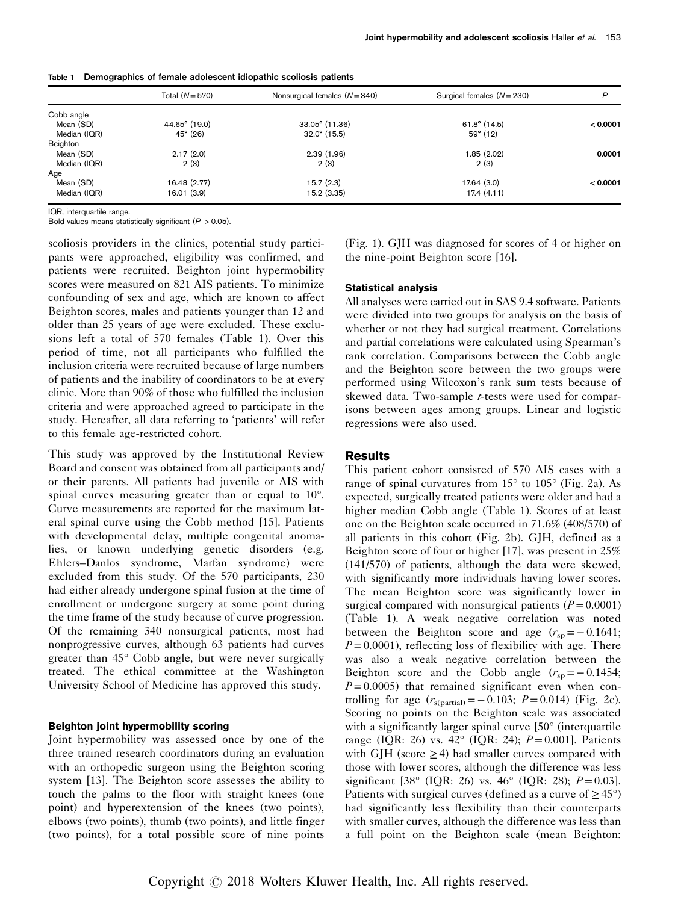|              | Total $(N=570)$        | Nonsurgical females $(N = 340)$ | Surgical females $(N = 230)$ | P        |
|--------------|------------------------|---------------------------------|------------------------------|----------|
| Cobb angle   |                        |                                 |                              |          |
| Mean (SD)    | $44.65^{\circ}$ (19.0) | $33.05^{\circ}$ (11.36)         | $61.8^{\circ}$ (14.5)        | < 0.0001 |
| Median (IQR) | $45^{\circ}$ (26)      | $32.0^{\circ}$ (15.5)           | $59^{\circ}$ (12)            |          |
| Beighton     |                        |                                 |                              |          |
| Mean (SD)    | 2.17(2.0)              | 2.39(1.96)                      | 1.85 (2.02)                  | 0.0001   |
| Median (IQR) | 2(3)                   | 2(3)                            | 2(3)                         |          |
| Age          |                        |                                 |                              |          |
| Mean (SD)    | 16.48 (2.77)           | 15.7(2.3)                       | 17.64 (3.0)                  | < 0.0001 |
| Median (IQR) | 16.01(3.9)             | 15.2 (3.35)                     | 17.4(4.11)                   |          |

Table 1 Demographics of female adolescent idiopathic scoliosis patients

IQR, interquartile range.

Bold values means statistically significant ( $P > 0.05$ ).

scoliosis providers in the clinics, potential study participants were approached, eligibility was confirmed, and patients were recruited. Beighton joint hypermobility scores were measured on 821 AIS patients. To minimize confounding of sex and age, which are known to affect Beighton scores, males and patients younger than 12 and older than 25 years of age were excluded. These exclusions left a total of 570 females (Table 1). Over this period of time, not all participants who fulfilled the inclusion criteria were recruited because of large numbers of patients and the inability of coordinators to be at every clinic. More than 90% of those who fulfilled the inclusion criteria and were approached agreed to participate in the study. Hereafter, all data referring to 'patients' will refer to this female age-restricted cohort.

This study was approved by the Institutional Review Board and consent was obtained from all participants and/ or their parents. All patients had juvenile or AIS with spinal curves measuring greater than or equal to 10°. Curve measurements are reported for the maximum lateral spinal curve using the Cobb method [\[15](#page-5-0)]. Patients with developmental delay, multiple congenital anomalies, or known underlying genetic disorders (e.g. Ehlers–Danlos syndrome, Marfan syndrome) were excluded from this study. Of the 570 participants, 230 had either already undergone spinal fusion at the time of enrollment or undergone surgery at some point during the time frame of the study because of curve progression. Of the remaining 340 nonsurgical patients, most had nonprogressive curves, although 63 patients had curves greater than 45° Cobb angle, but were never surgically treated. The ethical committee at the Washington University School of Medicine has approved this study.

#### Beighton joint hypermobility scoring

Joint hypermobility was assessed once by one of the three trained research coordinators during an evaluation with an orthopedic surgeon using the Beighton scoring system [\[13](#page-5-0)]. The Beighton score assesses the ability to touch the palms to the floor with straight knees (one point) and hyperextension of the knees (two points), elbows (two points), thumb (two points), and little finger (two points), for a total possible score of nine points [\(Fig. 1](#page-2-0)). GJH was diagnosed for scores of 4 or higher on the nine-point Beighton score [\[16](#page-5-0)].

## Statistical analysis

All analyses were carried out in SAS 9.4 software. Patients were divided into two groups for analysis on the basis of whether or not they had surgical treatment. Correlations and partial correlations were calculated using Spearman's rank correlation. Comparisons between the Cobb angle and the Beighton score between the two groups were performed using Wilcoxon's rank sum tests because of skewed data. Two-sample *t*-tests were used for comparisons between ages among groups. Linear and logistic regressions were also used.

### Results

This patient cohort consisted of 570 AIS cases with a range of spinal curvatures from 15° to 105° ([Fig. 2a](#page-3-0)). As expected, surgically treated patients were older and had a higher median Cobb angle (Table 1). Scores of at least one on the Beighton scale occurred in 71.6% (408/570) of all patients in this cohort [\(Fig. 2b\)](#page-3-0). GJH, defined as a Beighton score of four or higher [\[17](#page-6-0)], was present in 25% (141/570) of patients, although the data were skewed, with significantly more individuals having lower scores. The mean Beighton score was significantly lower in surgical compared with nonsurgical patients  $(P = 0.0001)$ (Table 1). A weak negative correlation was noted between the Beighton score and age  $(r_{sp} = -0.1641)$ ;  $P = 0.0001$ , reflecting loss of flexibility with age. There was also a weak negative correlation between the Beighton score and the Cobb angle  $(r_{\rm sp} = -0.1454;$  $P = 0.0005$ ) that remained significant even when controlling for age  $(r_{s(partial)} = -0.103; P = 0.014)$  [\(Fig. 2c](#page-3-0)). Scoring no points on the Beighton scale was associated with a significantly larger spinal curve [50° (interquartile range (IQR: 26) vs. 42° (IQR: 24);  $P = 0.001$ ]. Patients with GJH (score  $\geq$  4) had smaller curves compared with those with lower scores, although the difference was less significant [38° (IQR: 26) vs. 46° (IQR: 28);  $P = 0.03$ ]. Patients with surgical curves (defined as a curve of  $> 45^{\circ}$ ) had significantly less flexibility than their counterparts with smaller curves, although the difference was less than a full point on the Beighton scale (mean Beighton: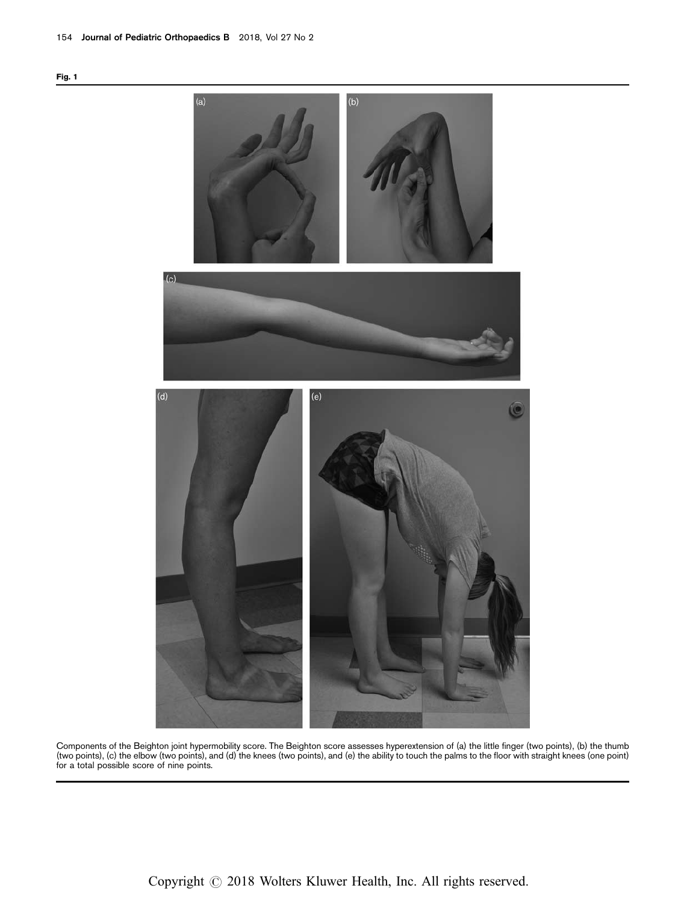<span id="page-2-0"></span>



Components of the Beighton joint hypermobility score. The Beighton score assesses hyperextension of (a) the little finger (two points), (b) the thumb (two points), (c) the elbow (two points), and (d) the knees (two points), and (e) the ability to touch the palms to the floor with straight knees (one point) for a total possible score of nine points.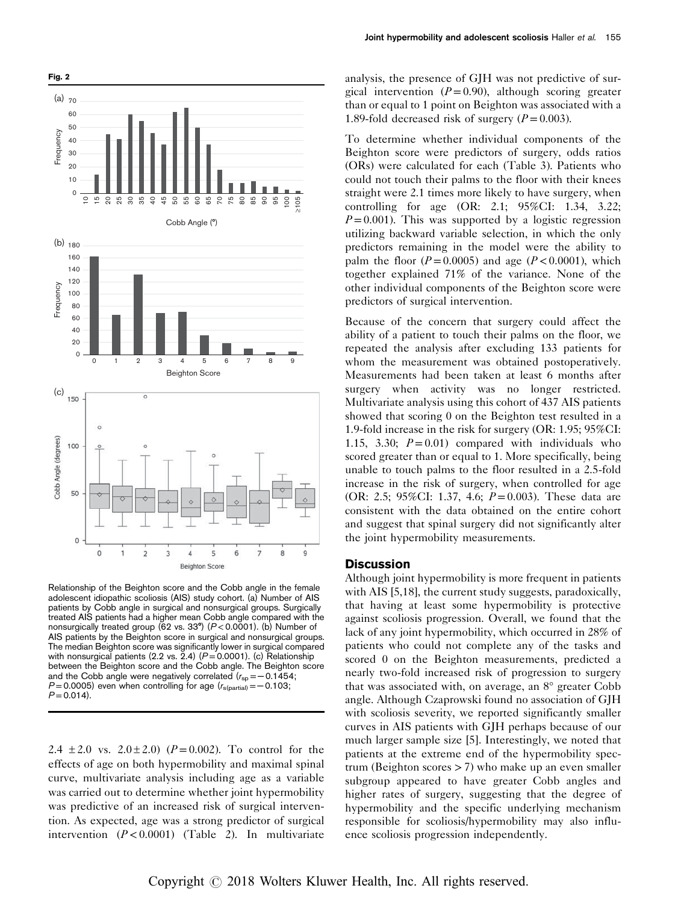<span id="page-3-0"></span>

Relationship of the Beighton score and the Cobb angle in the female adolescent idiopathic scoliosis (AIS) study cohort. (a) Number of AIS patients by Cobb angle in surgical and nonsurgical groups. Surgically treated AIS patients had a higher mean Cobb angle compared with the nonsurgically treated group (62 vs. 33°) ( $P$  < 0.0001). (b) Number of AIS patients by the Beighton score in surgical and nonsurgical groups. The median Beighton score was significantly lower in surgical compared<br>with nonsurgical patients  $(2.2 \text{ vs. } 2.4)$  ( $P = 0.0001$ ). (c) Relationship<br>between the Beighton score and the Cobb angle. The Beighton score<br>and the with nonsurgical patients (2.2 vs. 2.4) ( $P=0.0001$ ). (c) Relationship between the Beighton score and the Cobb angle. The Beighton score and the Cobb angle were negatively correlated  $(r_{sp} = -0.1454)$ ;  $P=0.0005$ ) even when controlling for age ( $r_{s(partial)}=-0.103$ ;  $P = 0.014$ .

2.4  $\pm$  2.0 vs. 2.0 $\pm$  2.0) (P = 0.002). To control for the effects of age on both hypermobility and maximal spinal curve, multivariate analysis including age as a variable was carried out to determine whether joint hypermobility was predictive of an increased risk of surgical intervention. As expected, age was a strong predictor of surgical intervention  $(P < 0.0001)$  [\(Table 2](#page-4-0)). In multivariate analysis, the presence of GJH was not predictive of surgical intervention  $(P = 0.90)$ , although scoring greater than or equal to 1 point on Beighton was associated with a 1.89-fold decreased risk of surgery  $(P = 0.003)$ .

To determine whether individual components of the Beighton score were predictors of surgery, odds ratios (ORs) were calculated for each [\(Table 3](#page-4-0)). Patients who could not touch their palms to the floor with their knees straight were 2.1 times more likely to have surgery, when controlling for age (OR: 2.1; 95%CI: 1.34, 3.22;  $P = 0.001$ ). This was supported by a logistic regression utilizing backward variable selection, in which the only predictors remaining in the model were the ability to palm the floor  $(P=0.0005)$  and age  $(P<0.0001)$ , which together explained 71% of the variance. None of the other individual components of the Beighton score were predictors of surgical intervention.

Because of the concern that surgery could affect the ability of a patient to touch their palms on the floor, we repeated the analysis after excluding 133 patients for whom the measurement was obtained postoperatively. Measurements had been taken at least 6 months after surgery when activity was no longer restricted. Multivariate analysis using this cohort of 437 AIS patients showed that scoring 0 on the Beighton test resulted in a 1.9-fold increase in the risk for surgery (OR: 1.95; 95%CI: 1.15, 3.30;  $P = 0.01$  compared with individuals who scored greater than or equal to 1. More specifically, being unable to touch palms to the floor resulted in a 2.5-fold increase in the risk of surgery, when controlled for age (OR: 2.5; 95%CI: 1.37, 4.6;  $P = 0.003$ ). These data are consistent with the data obtained on the entire cohort and suggest that spinal surgery did not significantly alter the joint hypermobility measurements.

# **Discussion**

Although joint hypermobility is more frequent in patients with AIS [\[5,18\]](#page-5-0), the current study suggests, paradoxically, that having at least some hypermobility is protective against scoliosis progression. Overall, we found that the lack of any joint hypermobility, which occurred in 28% of patients who could not complete any of the tasks and scored 0 on the Beighton measurements, predicted a nearly two-fold increased risk of progression to surgery that was associated with, on average, an 8° greater Cobb angle. Although Czaprowski found no association of GJH with scoliosis severity, we reported significantly smaller curves in AIS patients with GJH perhaps because of our much larger sample size [\[5\]](#page-5-0). Interestingly, we noted that patients at the extreme end of the hypermobility spectrum (Beighton scores  $>$  7) who make up an even smaller subgroup appeared to have greater Cobb angles and higher rates of surgery, suggesting that the degree of hypermobility and the specific underlying mechanism responsible for scoliosis/hypermobility may also influence scoliosis progression independently.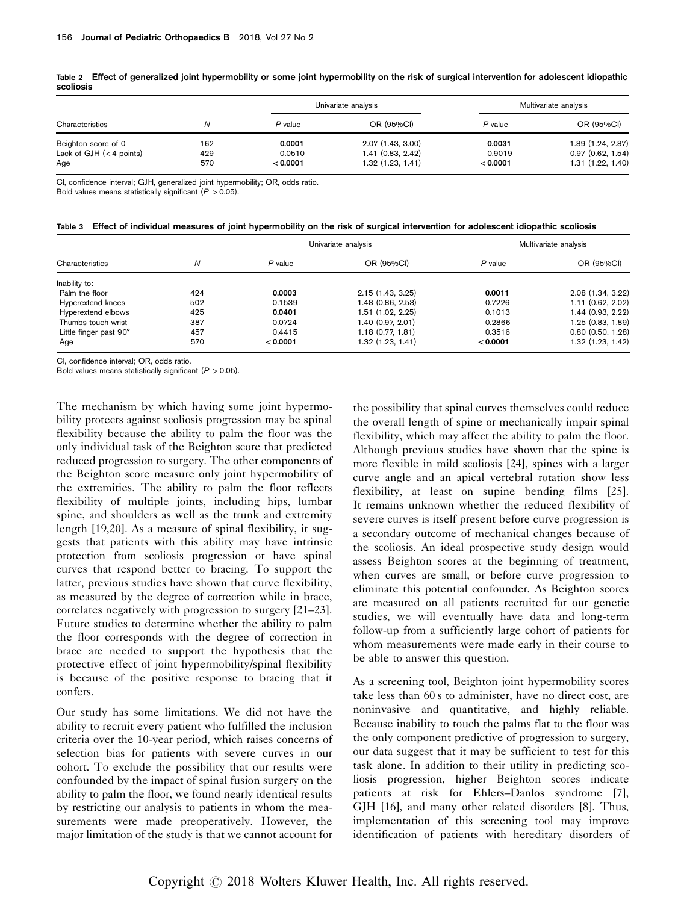| Characteristics              |     | Univariate analysis |                   | Multivariate analysis |                   |
|------------------------------|-----|---------------------|-------------------|-----------------------|-------------------|
|                              | Ν   | $P$ value           | OR (95%CI)        | $P$ value             | OR (95%CI)        |
| Beighton score of 0          | 162 | 0.0001              | 2.07(1.43, 3.00)  | 0.0031                | 1.89 (1.24, 2.87) |
| Lack of $GJH \leq 4$ points) | 429 | 0.0510              | 1.41(0.83, 2.42)  | 0.9019                | 0.97(0.62, 1.54)  |
| Age                          | 570 | < 0.0001            | 1.32 (1.23, 1.41) | < 0.0001              | 1.31 (1.22, 1.40) |

<span id="page-4-0"></span>Table 2 Effect of generalized joint hypermobility or some joint hypermobility on the risk of surgical intervention for adolescent idiopathic scoliosis

CI, confidence interval; GJH, generalized joint hypermobility; OR, odds ratio.

Bold values means statistically significant ( $P > 0.05$ ).

|  | Table 3 Effect of individual measures of joint hypermobility on the risk of surgical intervention for adolescent idiopathic scoliosis |  |  |  |  |
|--|---------------------------------------------------------------------------------------------------------------------------------------|--|--|--|--|
|--|---------------------------------------------------------------------------------------------------------------------------------------|--|--|--|--|

|                        |     |           | Univariate analysis |           | Multivariate analysis |  |
|------------------------|-----|-----------|---------------------|-----------|-----------------------|--|
| Characteristics        | N   | $P$ value | OR (95%CI)          | $P$ value | OR (95%CI)            |  |
| Inability to:          |     |           |                     |           |                       |  |
| Palm the floor         | 424 | 0.0003    | 2.15(1.43, 3.25)    | 0.0011    | 2.08(1.34, 3.22)      |  |
| Hyperextend knees      | 502 | 0.1539    | 1.48 (0.86, 2.53)   | 0.7226    | 1.11(0.62, 2.02)      |  |
| Hyperextend elbows     | 425 | 0.0401    | 1.51 (1.02. 2.25)   | 0.1013    | 1.44 (0.93, 2.22)     |  |
| Thumbs touch wrist     | 387 | 0.0724    | 1.40 (0.97. 2.01)   | 0.2866    | 1.25 (0.83, 1.89)     |  |
| Little finger past 90° | 457 | 0.4415    | 1.18(0.77, 1.81)    | 0.3516    | $0.80$ $(0.50, 1.28)$ |  |
| Age                    | 570 | < 0.0001  | 1.32 (1.23, 1.41)   | < 0.0001  | 1.32 (1.23, 1.42)     |  |

CI, confidence interval; OR, odds ratio.

Bold values means statistically significant ( $P > 0.05$ ).

The mechanism by which having some joint hypermobility protects against scoliosis progression may be spinal flexibility because the ability to palm the floor was the only individual task of the Beighton score that predicted reduced progression to surgery. The other components of the Beighton score measure only joint hypermobility of the extremities. The ability to palm the floor reflects flexibility of multiple joints, including hips, lumbar spine, and shoulders as well as the trunk and extremity length [\[19,20\]](#page-6-0). As a measure of spinal flexibility, it suggests that patients with this ability may have intrinsic protection from scoliosis progression or have spinal curves that respond better to bracing. To support the latter, previous studies have shown that curve flexibility, as measured by the degree of correction while in brace, correlates negatively with progression to surgery [\[21](#page-6-0)–23]. Future studies to determine whether the ability to palm the floor corresponds with the degree of correction in brace are needed to support the hypothesis that the protective effect of joint hypermobility/spinal flexibility is because of the positive response to bracing that it confers.

Our study has some limitations. We did not have the ability to recruit every patient who fulfilled the inclusion criteria over the 10-year period, which raises concerns of selection bias for patients with severe curves in our cohort. To exclude the possibility that our results were confounded by the impact of spinal fusion surgery on the ability to palm the floor, we found nearly identical results by restricting our analysis to patients in whom the measurements were made preoperatively. However, the major limitation of the study is that we cannot account for

the possibility that spinal curves themselves could reduce the overall length of spine or mechanically impair spinal flexibility, which may affect the ability to palm the floor. Although previous studies have shown that the spine is more flexible in mild scoliosis [\[24\]](#page-6-0), spines with a larger curve angle and an apical vertebral rotation show less flexibility, at least on supine bending films [\[25](#page-6-0)]. It remains unknown whether the reduced flexibility of severe curves is itself present before curve progression is a secondary outcome of mechanical changes because of the scoliosis. An ideal prospective study design would assess Beighton scores at the beginning of treatment, when curves are small, or before curve progression to eliminate this potential confounder. As Beighton scores are measured on all patients recruited for our genetic studies, we will eventually have data and long-term follow-up from a sufficiently large cohort of patients for whom measurements were made early in their course to be able to answer this question.

As a screening tool, Beighton joint hypermobility scores take less than 60 s to administer, have no direct cost, are noninvasive and quantitative, and highly reliable. Because inability to touch the palms flat to the floor was the only component predictive of progression to surgery, our data suggest that it may be sufficient to test for this task alone. In addition to their utility in predicting scoliosis progression, higher Beighton scores indicate patients at risk for Ehlers–Danlos syndrome [\[7](#page-5-0)], GJH [\[16](#page-5-0)], and many other related disorders [\[8\]](#page-5-0). Thus, implementation of this screening tool may improve identification of patients with hereditary disorders of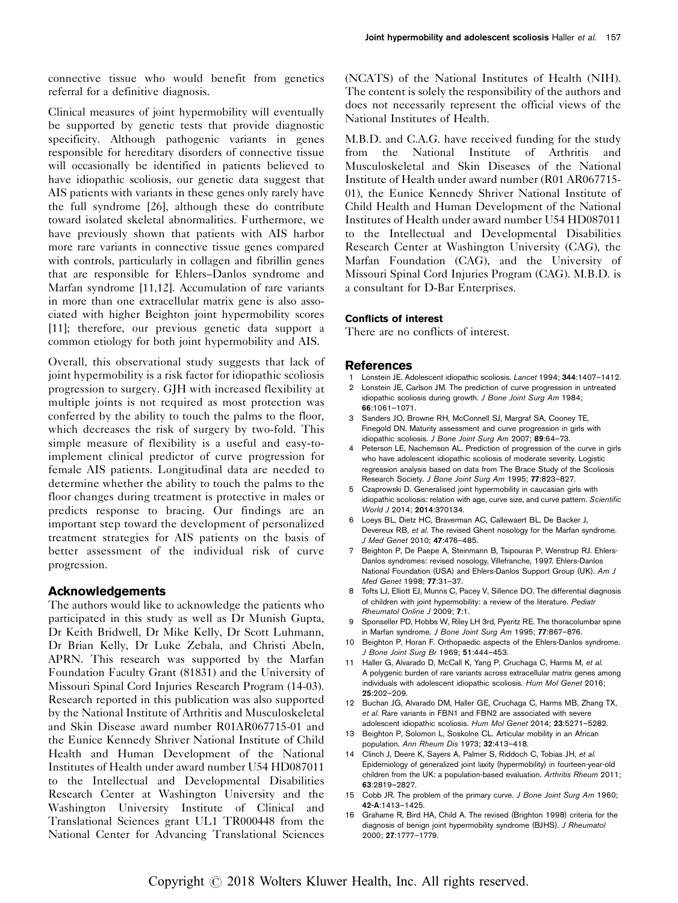<span id="page-5-0"></span>connective tissue who would benefit from genetics referral for a definitive diagnosis.

Clinical measures of joint hypermobility will eventually be supported by genetic tests that provide diagnostic specificity. Although pathogenic variants in genes responsible for hereditary disorders of connective tissue will occasionally be identified in patients believed to have idiopathic scoliosis, our genetic data suggest that AIS patients with variants in these genes only rarely have the full syndrome [\[26](#page-6-0)], although these do contribute toward isolated skeletal abnormalities. Furthermore, we have previously shown that patients with AIS harbor more rare variants in connective tissue genes compared with controls, particularly in collagen and fibrillin genes that are responsible for Ehlers–Danlos syndrome and Marfan syndrome [11,12]. Accumulation of rare variants in more than one extracellular matrix gene is also associated with higher Beighton joint hypermobility scores [11]; therefore, our previous genetic data support a common etiology for both joint hypermobility and AIS.

Overall, this observational study suggests that lack of joint hypermobility is a risk factor for idiopathic scoliosis progression to surgery. GJH with increased flexibility at multiple joints is not required as most protection was conferred by the ability to touch the palms to the floor, which decreases the risk of surgery by two-fold. This simple measure of flexibility is a useful and easy-toimplement clinical predictor of curve progression for female AIS patients. Longitudinal data are needed to determine whether the ability to touch the palms to the floor changes during treatment is protective in males or predicts response to bracing. Our findings are an important step toward the development of personalized treatment strategies for AIS patients on the basis of better assessment of the individual risk of curve progression.

## Acknowledgements

The authors would like to acknowledge the patients who participated in this study as well as Dr Munish Gupta, Dr Keith Bridwell, Dr Mike Kelly, Dr Scott Luhmann, Dr Brian Kelly, Dr Luke Zebala, and Christi Abeln, APRN. This research was supported by the Marfan Foundation Faculty Grant (81831) and the University of Missouri Spinal Cord Injuries Research Program (14-03). Research reported in this publication was also supported by the National Institute of Arthritis and Musculoskeletal and Skin Disease award number R01AR067715-01 and the Eunice Kennedy Shriver National Institute of Child Health and Human Development of the National Institutes of Health under award number U54 HD087011 to the Intellectual and Developmental Disabilities Research Center at Washington University and the Washington University Institute of Clinical and Translational Sciences grant UL1 TR000448 from the National Center for Advancing Translational Sciences

(NCATS) of the National Institutes of Health (NIH). The content is solely the responsibility of the authors and does not necessarily represent the official views of the National Institutes of Health.

M.B.D. and C.A.G. have received funding for the study from the National Institute of Arthritis and Musculoskeletal and Skin Diseases of the National Institute of Health under award number (R01 AR067715- 01), the Eunice Kennedy Shriver National Institute of Child Health and Human Development of the National Institutes of Health under award number U54 HD087011 to the Intellectual and Developmental Disabilities Research Center at Washington University (CAG), the Marfan Foundation (CAG), and the University of Missouri Spinal Cord Injuries Program (CAG). M.B.D. is a consultant for D-Bar Enterprises.

## Conflicts of interest

There are no conflicts of interest.

#### References

- 1 Lonstein JE. Adolescent idiopathic scoliosis. Lancet 1994; 344:1407–1412.
- 2 Lonstein JE, Carlson JM. The prediction of curve progression in untreated idiopathic scoliosis during growth. J Bone Joint Surg Am 1984; 66:1061–1071.
- 3 Sanders JO, Browne RH, McConnell SJ, Margraf SA, Cooney TE, Finegold DN. Maturity assessment and curve progression in girls with idiopathic scoliosis. J Bone Joint Surg Am 2007; 89:64-73.
- 4 Peterson LE, Nachemson AL. Prediction of progression of the curve in girls who have adolescent idiopathic scoliosis of moderate severity. Logistic regression analysis based on data from The Brace Study of the Scoliosis Research Society. J Bone Joint Surg Am 1995; 77:823–827.
- 5 Czaprowski D. Generalised joint hypermobility in caucasian girls with idiopathic scoliosis: relation with age, curve size, and curve pattern. Scientific World J 2014; 2014:370134.
- 6 Loeys BL, Dietz HC, Braverman AC, Callewaert BL, De Backer J, Devereux RB, et al. The revised Ghent nosology for the Marfan syndrome. J Med Genet 2010; 47:476–485.
- 7 Beighton P, De Paepe A, Steinmann B, Tsipouras P, Wenstrup RJ. Ehlers-Danlos syndromes: revised nosology, Villefranche, 1997. Ehlers-Danlos National Foundation (USA) and Ehlers-Danlos Support Group (UK). Am J Med Genet 1998; 77:31–37.
- 8 Tofts LJ, Elliott EJ, Munns C, Pacey V, Sillence DO. The differential diagnosis of children with joint hypermobility: a review of the literature. Pediatr Rheumatol Online J 2009; 7:1.
- 9 Sponseller PD, Hobbs W, Riley LH 3rd, Pyeritz RE. The thoracolumbar spine in Marfan syndrome. J Bone Joint Surg Am 1995; 77:867–876.
- 10 Beighton P, Horan F. Orthopaedic aspects of the Ehlers-Danlos syndrome. J Bone Joint Surg Br 1969; 51:444–453.
- 11 Haller G, Alvarado D, McCall K, Yang P, Cruchaga C, Harms M, et al. A polygenic burden of rare variants across extracellular matrix genes among individuals with adolescent idiopathic scoliosis. Hum Mol Genet 2016; 25:202–209.
- 12 Buchan JG, Alvarado DM, Haller GE, Cruchaga C, Harms MB, Zhang TX, et al. Rare variants in FBN1 and FBN2 are associated with severe adolescent idiopathic scoliosis. Hum Mol Genet 2014; 23:5271–5282.
- 13 Beighton P, Solomon L, Soskolne CL. Articular mobility in an African population. Ann Rheum Dis 1973; 32:413–418.
- 14 Clinch J, Deere K, Sayers A, Palmer S, Riddoch C, Tobias JH, et al. Epidemiology of generalized joint laxity (hypermobility) in fourteen-year-old children from the UK: a population-based evaluation. Arthritis Rheum 2011; 63:2819–2827.
- 15 Cobb JR. The problem of the primary curve. J Bone Joint Surg Am 1960; 42-A:1413–1425.
- 16 Grahame R, Bird HA, Child A. The revised (Brighton 1998) criteria for the diagnosis of benign joint hypermobility syndrome (BJHS). J Rheumatol 2000; 27:1777–1779.